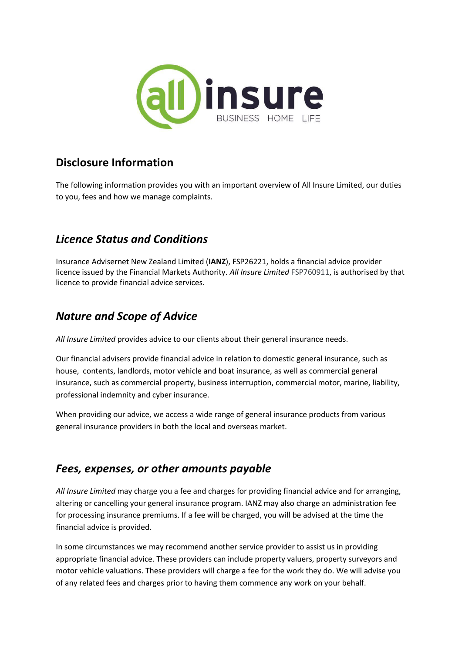

### **Disclosure Information**

The following information provides you with an important overview of All Insure Limited, our duties to you, fees and how we manage complaints.

### *Licence Status and Conditions*

Insurance Advisernet New Zealand Limited (**IANZ**), FSP26221, holds a financial advice provider licence issued by the Financial Markets Authority. *All Insure Limited* FSP760911, is authorised by that licence to provide financial advice services.

## *Nature and Scope of Advice*

*All Insure Limited* provides advice to our clients about their general insurance needs.

Our financial advisers provide financial advice in relation to domestic general insurance, such as house, contents, landlords, motor vehicle and boat insurance, as well as commercial general insurance, such as commercial property, business interruption, commercial motor, marine, liability, professional indemnity and cyber insurance.

When providing our advice, we access a wide range of general insurance products from various general insurance providers in both the local and overseas market.

#### *Fees, expenses, or other amounts payable*

*All Insure Limited* may charge you a fee and charges for providing financial advice and for arranging, altering or cancelling your general insurance program. IANZ may also charge an administration fee for processing insurance premiums. If a fee will be charged, you will be advised at the time the financial advice is provided.

In some circumstances we may recommend another service provider to assist us in providing appropriate financial advice. These providers can include property valuers, property surveyors and motor vehicle valuations. These providers will charge a fee for the work they do. We will advise you of any related fees and charges prior to having them commence any work on your behalf.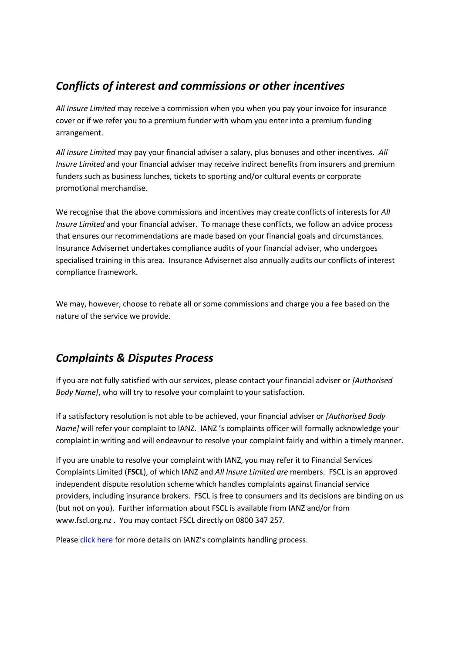### *Conflicts of interest and commissions or other incentives*

*All Insure Limited* may receive a commission when you when you pay your invoice for insurance cover or if we refer you to a premium funder with whom you enter into a premium funding arrangement.

*All Insure Limited* may pay your financial adviser a salary, plus bonuses and other incentives. *All Insure Limited* and your financial adviser may receive indirect benefits from insurers and premium funders such as business lunches, tickets to sporting and/or cultural events or corporate promotional merchandise.

We recognise that the above commissions and incentives may create conflicts of interests for *All Insure Limited* and your financial adviser. To manage these conflicts, we follow an advice process that ensures our recommendations are made based on your financial goals and circumstances. Insurance Advisernet undertakes compliance audits of your financial adviser, who undergoes specialised training in this area. Insurance Advisernet also annually audits our conflicts of interest compliance framework.

We may, however, choose to rebate all or some commissions and charge you a fee based on the nature of the service we provide.

#### *Complaints & Disputes Process*

If you are not fully satisfied with our services, please contact your financial adviser or *[Authorised Body Name]*, who will try to resolve your complaint to your satisfaction.

If a satisfactory resolution is not able to be achieved, your financial adviser or *[Authorised Body Name]* will refer your complaint to IANZ. IANZ 's complaints officer will formally acknowledge your complaint in writing and will endeavour to resolve your complaint fairly and within a timely manner.

If you are unable to resolve your complaint with IANZ, you may refer it to Financial Services Complaints Limited (**FSCL**), of which IANZ and *All Insure Limited are* members. FSCL is an approved independent dispute resolution scheme which handles complaints against financial service providers, including insurance brokers. FSCL is free to consumers and its decisions are binding on us (but not on you). Further information about FSCL is available from IANZ and/or from www.fscl.org.nz . You may contact FSCL directly on 0800 347 257.

Please [click here](https://insuranceadvisernet.co.nz/compliments-and-complaints) for more details on IANZ's complaints handling process.